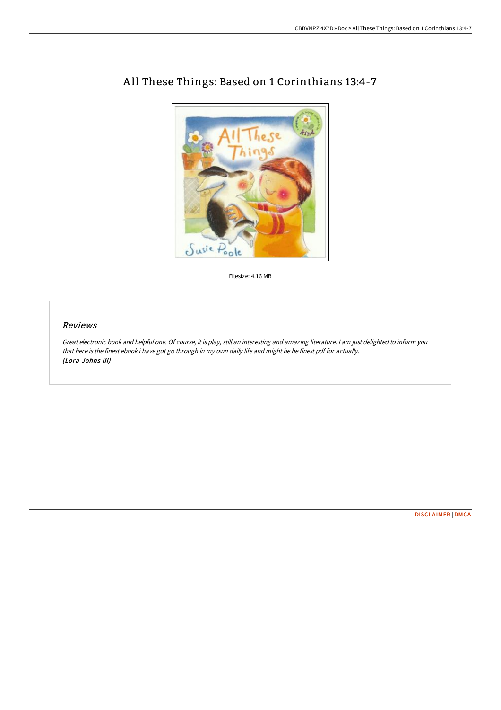

# A ll These Things: Based on 1 Corinthians 13:4-7

Filesize: 4.16 MB

#### Reviews

Great electronic book and helpful one. Of course, it is play, still an interesting and amazing literature. <sup>I</sup> am just delighted to inform you that here is the finest ebook i have got go through in my own daily life and might be he finest pdf for actually. (Lora Johns III)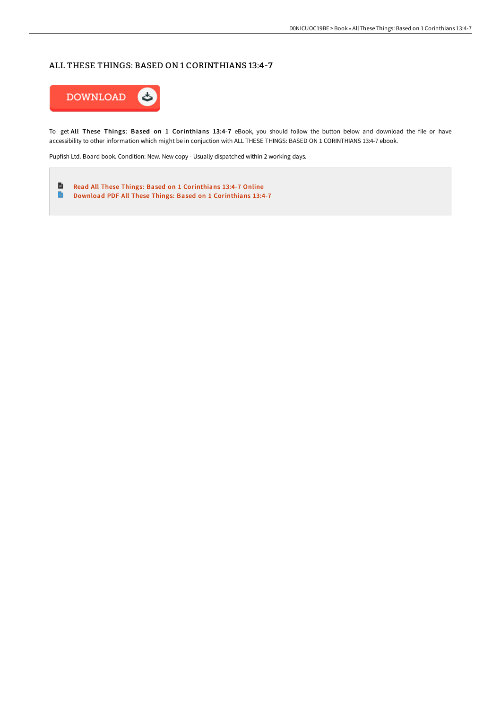### ALL THESE THINGS: BASED ON 1 CORINTHIANS 13:4-7



To get All These Things: Based on 1 Corinthians 13:4-7 eBook, you should follow the button below and download the file or have accessibility to other information which might be in conjuction with ALL THESE THINGS: BASED ON 1 CORINTHIANS 13:4-7 ebook.

Pupfish Ltd. Board book. Condition: New. New copy - Usually dispatched within 2 working days.

B Read All These Things: Based on 1 [Corinthians](http://www.bookdirs.com/all-these-things-based-on-1-corinthians-13-4-7.html) 13:4-7 Online  $\blacksquare$ Download PDF All These Things: Based on 1 [Corinthians](http://www.bookdirs.com/all-these-things-based-on-1-corinthians-13-4-7.html) 13:4-7